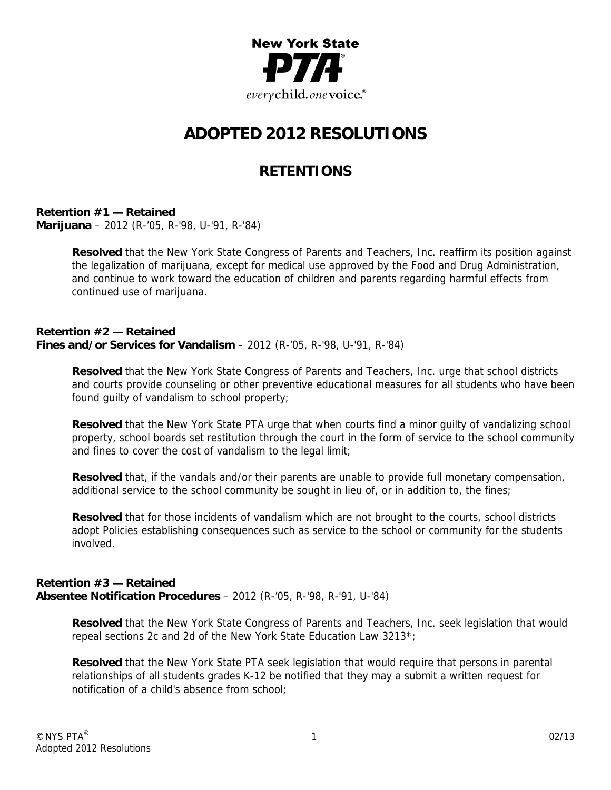

# **ADOPTED 2012 RESOLUTIONS**

## **RETENTIONS**

**Retention #1 — Retained Marijuana** – 2012 (R-'05, R-'98, U-'91, R-'84)

> **Resolved** that the New York State Congress of Parents and Teachers, Inc. reaffirm its position against the legalization of marijuana, except for medical use approved by the Food and Drug Administration, and continue to work toward the education of children and parents regarding harmful effects from continued use of marijuana.

## **Retention #2 — Retained Fines and/or Services for Vandalism** – 2012 (R-'05, R-'98, U-'91, R-'84)

**Resolved** that the New York State Congress of Parents and Teachers, Inc. urge that school districts and courts provide counseling or other preventive educational measures for all students who have been found guilty of vandalism to school property;

**Resolved** that the New York State PTA urge that when courts find a minor guilty of vandalizing school property, school boards set restitution through the court in the form of service to the school community and fines to cover the cost of vandalism to the legal limit;

**Resolved** that, if the vandals and/or their parents are unable to provide full monetary compensation, additional service to the school community be sought in lieu of, or in addition to, the fines;

**Resolved** that for those incidents of vandalism which are not brought to the courts, school districts adopt Policies establishing consequences such as service to the school or community for the students involved.

### **Retention #3 — Retained Absentee Notification Procedures** – 2012 (R-'05, R-'98, R-'91, U-'84)

**Resolved** that the New York State Congress of Parents and Teachers, Inc. seek legislation that would repeal sections 2c and 2d of the New York State Education Law 3213\*;

**Resolved** that the New York State PTA seek legislation that would require that persons in parental relationships of all students grades K-12 be notified that they may a submit a written request for notification of a child's absence from school;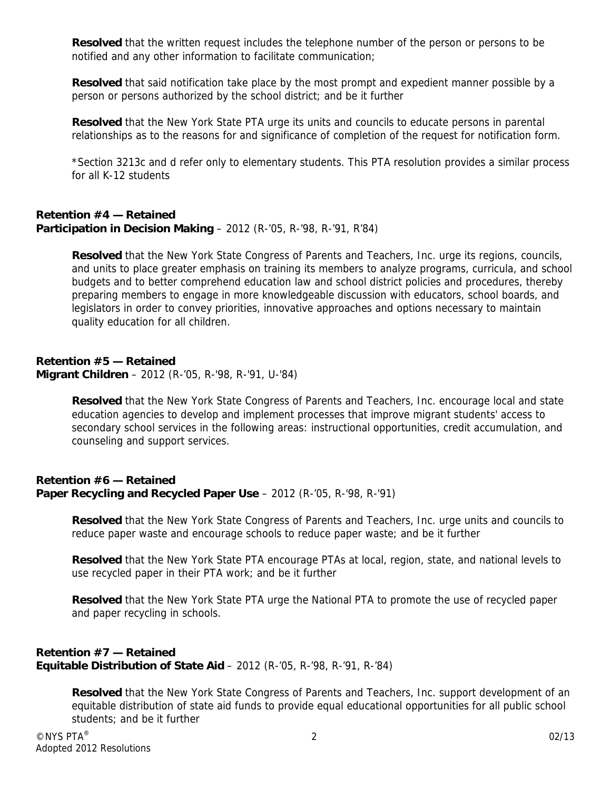**Resolved** that the written request includes the telephone number of the person or persons to be notified and any other information to facilitate communication;

**Resolved** that said notification take place by the most prompt and expedient manner possible by a person or persons authorized by the school district; and be it further

**Resolved** that the New York State PTA urge its units and councils to educate persons in parental relationships as to the reasons for and significance of completion of the request for notification form.

\*Section 3213c and d refer only to elementary students. This PTA resolution provides a similar process for all K-12 students

## **Retention #4 — Retained Participation in Decision Making** – 2012 (R-'05, R-'98, R-'91, R'84)

**Resolved** that the New York State Congress of Parents and Teachers, Inc. urge its regions, councils, and units to place greater emphasis on training its members to analyze programs, curricula, and school budgets and to better comprehend education law and school district policies and procedures, thereby preparing members to engage in more knowledgeable discussion with educators, school boards, and legislators in order to convey priorities, innovative approaches and options necessary to maintain quality education for all children.

## **Retention #5 — Retained**

**Migrant Children** – 2012 (R-'05, R-'98, R-'91, U-'84)

**Resolved** that the New York State Congress of Parents and Teachers, Inc. encourage local and state education agencies to develop and implement processes that improve migrant students' access to secondary school services in the following areas: instructional opportunities, credit accumulation, and counseling and support services.

## **Retention #6 — Retained Paper Recycling and Recycled Paper Use** – 2012 (R-'05, R-'98, R-'91)

**Resolved** that the New York State Congress of Parents and Teachers, Inc. urge units and councils to reduce paper waste and encourage schools to reduce paper waste; and be it further

**Resolved** that the New York State PTA encourage PTAs at local, region, state, and national levels to use recycled paper in their PTA work; and be it further

**Resolved** that the New York State PTA urge the National PTA to promote the use of recycled paper and paper recycling in schools.

## **Retention #7 — Retained Equitable Distribution of State Aid** – 2012 (R-'05, R-'98, R-'91, R-'84)

**Resolved** that the New York State Congress of Parents and Teachers, Inc. support development of an equitable distribution of state aid funds to provide equal educational opportunities for all public school students; and be it further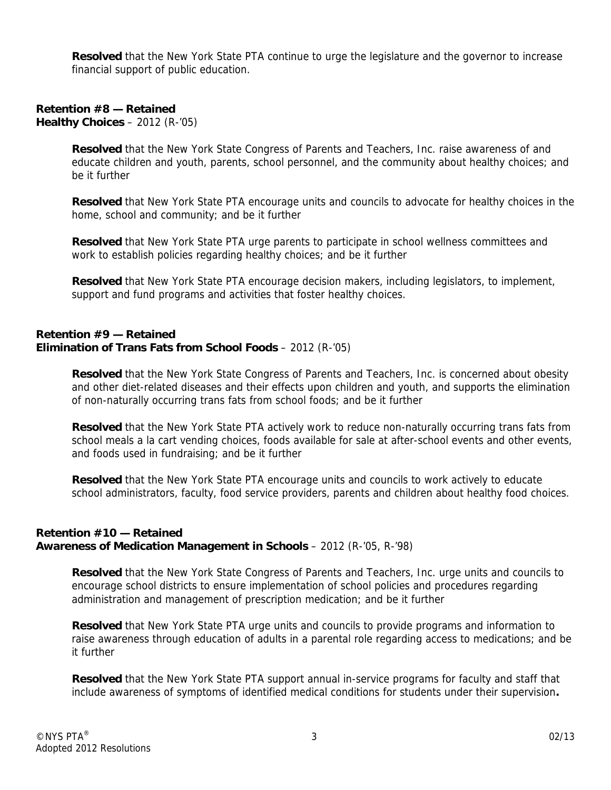**Resolved** that the New York State PTA continue to urge the legislature and the governor to increase financial support of public education.

### **Retention #8 — Retained Healthy Choices** – 2012 (R-'05)

**Resolved** that the New York State Congress of Parents and Teachers, Inc. raise awareness of and educate children and youth, parents, school personnel, and the community about healthy choices; and be it further

**Resolved** that New York State PTA encourage units and councils to advocate for healthy choices in the home, school and community; and be it further

**Resolved** that New York State PTA urge parents to participate in school wellness committees and work to establish policies regarding healthy choices; and be it further

**Resolved** that New York State PTA encourage decision makers, including legislators, to implement, support and fund programs and activities that foster healthy choices.

## **Retention #9 — Retained Elimination of Trans Fats from School Foods** – 2012 (R-'05)

**Resolved** that the New York State Congress of Parents and Teachers, Inc. is concerned about obesity and other diet-related diseases and their effects upon children and youth, and supports the elimination of non-naturally occurring trans fats from school foods; and be it further

**Resolved** that the New York State PTA actively work to reduce non-naturally occurring trans fats from school meals a la cart vending choices, foods available for sale at after-school events and other events, and foods used in fundraising; and be it further

**Resolved** that the New York State PTA encourage units and councils to work actively to educate school administrators, faculty, food service providers, parents and children about healthy food choices.

## **Retention #10 — Retained Awareness of Medication Management in Schools** – 2012 (R-'05, R-'98)

**Resolved** that the New York State Congress of Parents and Teachers, Inc. urge units and councils to encourage school districts to ensure implementation of school policies and procedures regarding administration and management of prescription medication; and be it further

**Resolved** that New York State PTA urge units and councils to provide programs and information to raise awareness through education of adults in a parental role regarding access to medications; and be it further

**Resolved** that the New York State PTA support annual in-service programs for faculty and staff that include awareness of symptoms of identified medical conditions for students under their supervision**.**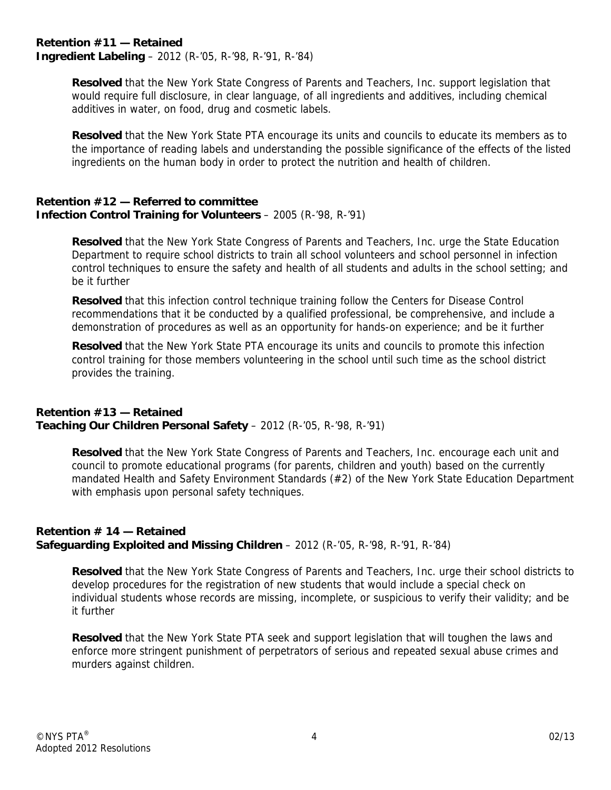### **Retention #11 — Retained Ingredient Labeling** – 2012 (R-'05, R-'98, R-'91, R-'84)

**Resolved** that the New York State Congress of Parents and Teachers, Inc. support legislation that would require full disclosure, in clear language, of all ingredients and additives, including chemical additives in water, on food, drug and cosmetic labels.

**Resolved** that the New York State PTA encourage its units and councils to educate its members as to the importance of reading labels and understanding the possible significance of the effects of the listed ingredients on the human body in order to protect the nutrition and health of children.

## **Retention #12 — Referred to committee Infection Control Training for Volunteers** – 2005 (R-'98, R-'91)

**Resolved** that the New York State Congress of Parents and Teachers, Inc. urge the State Education Department to require school districts to train all school volunteers and school personnel in infection control techniques to ensure the safety and health of all students and adults in the school setting; and be it further

**Resolved** that this infection control technique training follow the Centers for Disease Control recommendations that it be conducted by a qualified professional, be comprehensive, and include a demonstration of procedures as well as an opportunity for hands-on experience; and be it further

**Resolved** that the New York State PTA encourage its units and councils to promote this infection control training for those members volunteering in the school until such time as the school district provides the training.

## **Retention #13 — Retained Teaching Our Children Personal Safety** – 2012 (R-'05, R-'98, R-'91)

**Resolved** that the New York State Congress of Parents and Teachers, Inc. encourage each unit and council to promote educational programs (for parents, children and youth) based on the currently mandated Health and Safety Environment Standards (#2) of the New York State Education Department with emphasis upon personal safety techniques.

## **Retention # 14 — Retained Safeguarding Exploited and Missing Children** – 2012 (R-'05, R-'98, R-'91, R-'84)

**Resolved** that the New York State Congress of Parents and Teachers, Inc. urge their school districts to develop procedures for the registration of new students that would include a special check on individual students whose records are missing, incomplete, or suspicious to verify their validity; and be it further

**Resolved** that the New York State PTA seek and support legislation that will toughen the laws and enforce more stringent punishment of perpetrators of serious and repeated sexual abuse crimes and murders against children.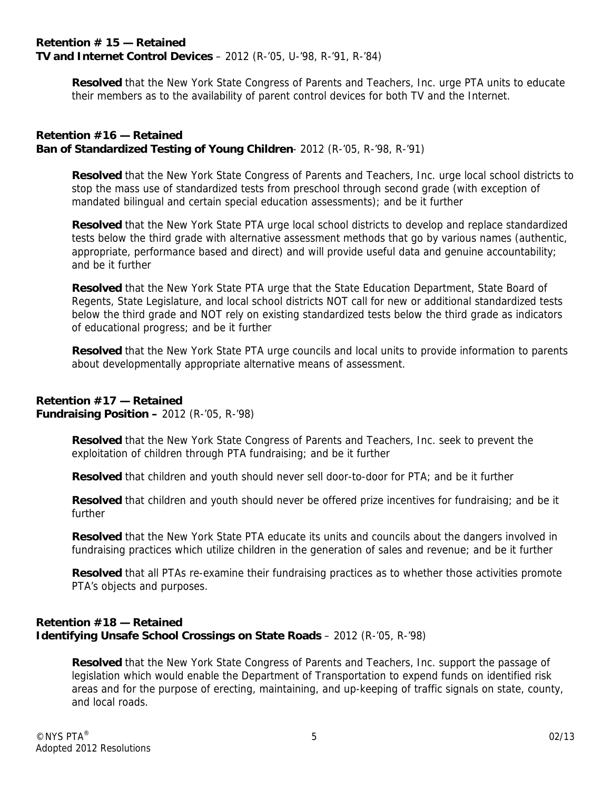## **Retention # 15 — Retained TV and Internet Control Devices** – 2012 (R-'05, U-'98, R-'91, R-'84)

**Resolved** that the New York State Congress of Parents and Teachers, Inc. urge PTA units to educate their members as to the availability of parent control devices for both TV and the Internet.

## **Retention #16 — Retained Ban of Standardized Testing of Young Children**- 2012 (R-'05, R-'98, R-'91)

**Resolved** that the New York State Congress of Parents and Teachers, Inc. urge local school districts to stop the mass use of standardized tests from preschool through second grade (with exception of mandated bilingual and certain special education assessments); and be it further

**Resolved** that the New York State PTA urge local school districts to develop and replace standardized tests below the third grade with alternative assessment methods that go by various names (authentic, appropriate, performance based and direct) and will provide useful data and genuine accountability; and be it further

**Resolved** that the New York State PTA urge that the State Education Department, State Board of Regents, State Legislature, and local school districts NOT call for new or additional standardized tests below the third grade and NOT rely on existing standardized tests below the third grade as indicators of educational progress; and be it further

**Resolved** that the New York State PTA urge councils and local units to provide information to parents about developmentally appropriate alternative means of assessment.

## **Retention #17 — Retained**

**Fundraising Position –** 2012 (R-'05, R-'98)

**Resolved** that the New York State Congress of Parents and Teachers, Inc. seek to prevent the exploitation of children through PTA fundraising; and be it further

**Resolved** that children and youth should never sell door-to-door for PTA; and be it further

**Resolved** that children and youth should never be offered prize incentives for fundraising; and be it further

**Resolved** that the New York State PTA educate its units and councils about the dangers involved in fundraising practices which utilize children in the generation of sales and revenue; and be it further

**Resolved** that all PTAs re-examine their fundraising practices as to whether those activities promote PTA's objects and purposes.

## **Retention #18 — Retained Identifying Unsafe School Crossings on State Roads** - 2012 (R-'05, R-'98)

**Resolved** that the New York State Congress of Parents and Teachers, Inc. support the passage of legislation which would enable the Department of Transportation to expend funds on identified risk areas and for the purpose of erecting, maintaining, and up-keeping of traffic signals on state, county, and local roads.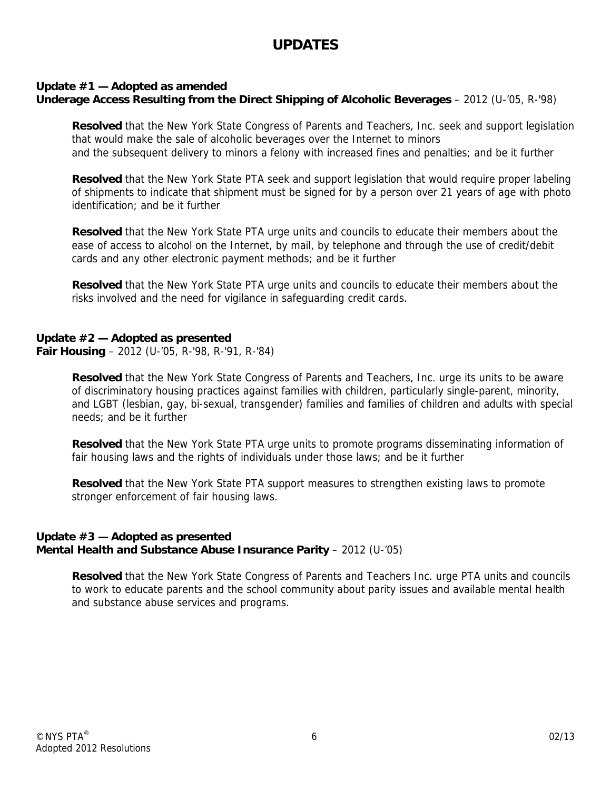## **UPDATES**

## **Update #1 — Adopted as amended**

**Underage Access Resulting from the Direct Shipping of Alcoholic Beverages** – 2012 (U-'05, R-'98)

**Resolved** that the New York State Congress of Parents and Teachers, Inc. seek and support legislation that would make the sale of alcoholic beverages over the Internet to minors and the subsequent delivery to minors a felony with increased fines and penalties; and be it further

**Resolved** that the New York State PTA seek and support legislation that would require proper labeling of shipments to indicate that shipment must be signed for by a person over 21 years of age with photo identification; and be it further

**Resolved** that the New York State PTA urge units and councils to educate their members about the ease of access to alcohol on the Internet, by mail, by telephone and through the use of credit/debit cards and any other electronic payment methods; and be it further

**Resolved** that the New York State PTA urge units and councils to educate their members about the risks involved and the need for vigilance in safeguarding credit cards.

## **Update #2 — Adopted as presented**

**Fair Housing** – 2012 (U-'05, R-'98, R-'91, R-'84)

**Resolved** that the New York State Congress of Parents and Teachers, Inc. urge its units to be aware of discriminatory housing practices against families with children, particularly single-parent, minority, and LGBT (lesbian, gay, bi-sexual, transgender) families and families of children and adults with special needs; and be it further

**Resolved** that the New York State PTA urge units to promote programs disseminating information of fair housing laws and the rights of individuals under those laws; and be it further

**Resolved** that the New York State PTA support measures to strengthen existing laws to promote stronger enforcement of fair housing laws.

## **Update #3 — Adopted as presented Mental Health and Substance Abuse Insurance Parity** – 2012 (U-'05)

**Resolved** that the New York State Congress of Parents and Teachers Inc. urge PTA units and councils to work to educate parents and the school community about parity issues and available mental health and substance abuse services and programs.